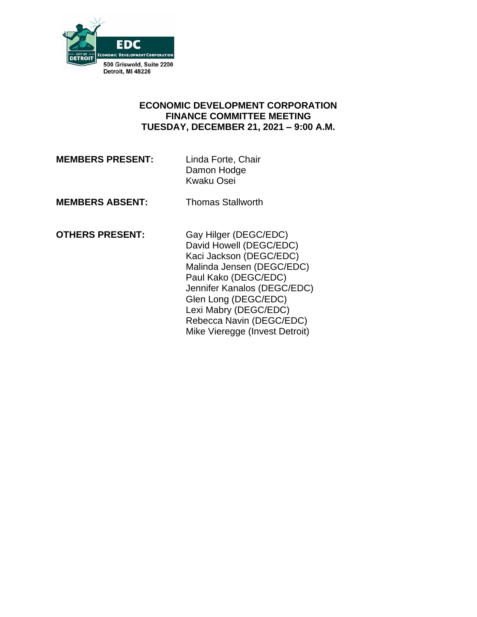

### **ECONOMIC DEVELOPMENT CORPORATION FINANCE COMMITTEE MEETING TUESDAY, DECEMBER 21, 2021 – 9:00 A.M.**

**MEMBERS PRESENT:** Linda Forte, Chair

Damon Hodge Kwaku Osei

**MEMBERS ABSENT:** Thomas Stallworth

**OTHERS PRESENT:** Gay Hilger (DEGC/EDC)

David Howell (DEGC/EDC) Kaci Jackson (DEGC/EDC) Malinda Jensen (DEGC/EDC) Paul Kako (DEGC/EDC) Jennifer Kanalos (DEGC/EDC) Glen Long (DEGC/EDC) Lexi Mabry (DEGC/EDC) Rebecca Navin (DEGC/EDC) Mike Vieregge (Invest Detroit)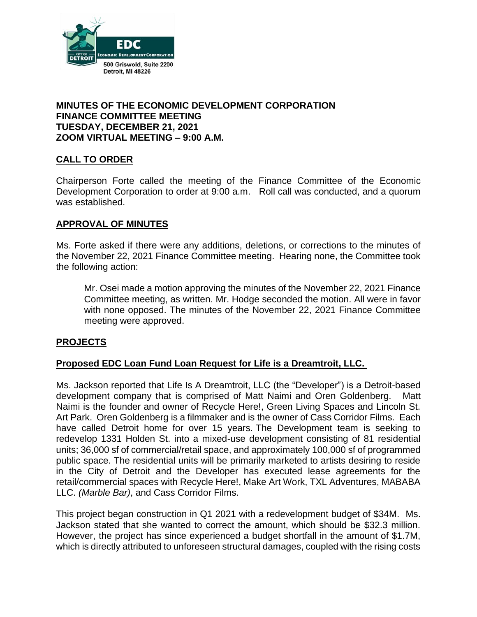

## **MINUTES OF THE ECONOMIC DEVELOPMENT CORPORATION FINANCE COMMITTEE MEETING TUESDAY, DECEMBER 21, 2021 ZOOM VIRTUAL MEETING – 9:00 A.M.**

## **CALL TO ORDER**

Chairperson Forte called the meeting of the Finance Committee of the Economic Development Corporation to order at 9:00 a.m. Roll call was conducted, and a quorum was established.

### **APPROVAL OF MINUTES**

Ms. Forte asked if there were any additions, deletions, or corrections to the minutes of the November 22, 2021 Finance Committee meeting. Hearing none, the Committee took the following action:

Mr. Osei made a motion approving the minutes of the November 22, 2021 Finance Committee meeting, as written. Mr. Hodge seconded the motion. All were in favor with none opposed. The minutes of the November 22, 2021 Finance Committee meeting were approved.

### **PROJECTS**

### **Proposed EDC Loan Fund Loan Request for Life is a Dreamtroit, LLC.**

Ms. Jackson reported that Life Is A Dreamtroit, LLC (the "Developer") is a Detroit-based development company that is comprised of Matt Naimi and Oren Goldenberg. Matt Naimi is the founder and owner of Recycle Here!, Green Living Spaces and Lincoln St. Art Park. Oren Goldenberg is a filmmaker and is the owner of Cass Corridor Films. Each have called Detroit home for over 15 years. The Development team is seeking to redevelop 1331 Holden St. into a mixed-use development consisting of 81 residential units; 36,000 sf of commercial/retail space, and approximately 100,000 sf of programmed public space. The residential units will be primarily marketed to artists desiring to reside in the City of Detroit and the Developer has executed lease agreements for the retail/commercial spaces with Recycle Here!, Make Art Work, TXL Adventures, MABABA LLC. *(Marble Bar)*, and Cass Corridor Films.

This project began construction in Q1 2021 with a redevelopment budget of \$34M. Ms. Jackson stated that she wanted to correct the amount, which should be \$32.3 million. However, the project has since experienced a budget shortfall in the amount of \$1.7M, which is directly attributed to unforeseen structural damages, coupled with the rising costs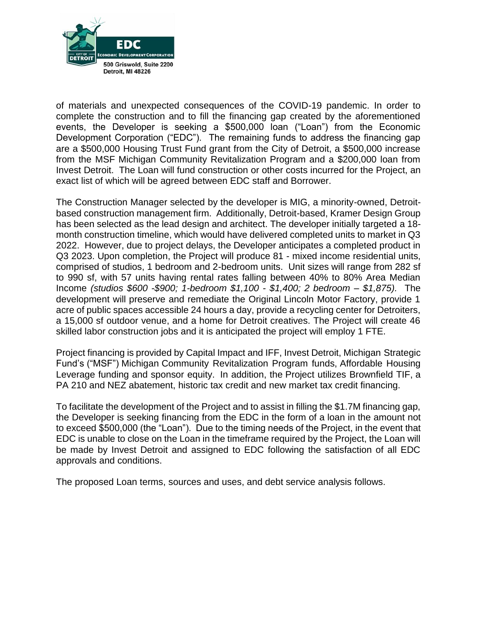

of materials and unexpected consequences of the COVID-19 pandemic. In order to complete the construction and to fill the financing gap created by the aforementioned events, the Developer is seeking a \$500,000 loan ("Loan") from the Economic Development Corporation ("EDC"). The remaining funds to address the financing gap are a \$500,000 Housing Trust Fund grant from the City of Detroit, a \$500,000 increase from the MSF Michigan Community Revitalization Program and a \$200,000 loan from Invest Detroit. The Loan will fund construction or other costs incurred for the Project, an exact list of which will be agreed between EDC staff and Borrower.

The Construction Manager selected by the developer is MIG, a minority-owned, Detroitbased construction management firm. Additionally, Detroit-based, Kramer Design Group has been selected as the lead design and architect. The developer initially targeted a 18 month construction timeline, which would have delivered completed units to market in Q3 2022. However, due to project delays, the Developer anticipates a completed product in Q3 2023. Upon completion, the Project will produce 81 - mixed income residential units, comprised of studios, 1 bedroom and 2-bedroom units. Unit sizes will range from 282 sf to 990 sf, with 57 units having rental rates falling between 40% to 80% Area Median Income *(studios \$600 -\$900; 1-bedroom \$1,100 - \$1,400; 2 bedroom – \$1,875).* The development will preserve and remediate the Original Lincoln Motor Factory, provide 1 acre of public spaces accessible 24 hours a day, provide a recycling center for Detroiters, a 15,000 sf outdoor venue, and a home for Detroit creatives. The Project will create 46 skilled labor construction jobs and it is anticipated the project will employ 1 FTE.

Project financing is provided by Capital Impact and IFF, Invest Detroit, Michigan Strategic Fund's ("MSF") Michigan Community Revitalization Program funds, Affordable Housing Leverage funding and sponsor equity. In addition, the Project utilizes Brownfield TIF, a PA 210 and NEZ abatement, historic tax credit and new market tax credit financing.

To facilitate the development of the Project and to assist in filling the \$1.7M financing gap, the Developer is seeking financing from the EDC in the form of a loan in the amount not to exceed \$500,000 (the "Loan"). Due to the timing needs of the Project, in the event that EDC is unable to close on the Loan in the timeframe required by the Project, the Loan will be made by Invest Detroit and assigned to EDC following the satisfaction of all EDC approvals and conditions.

The proposed Loan terms, sources and uses, and debt service analysis follows.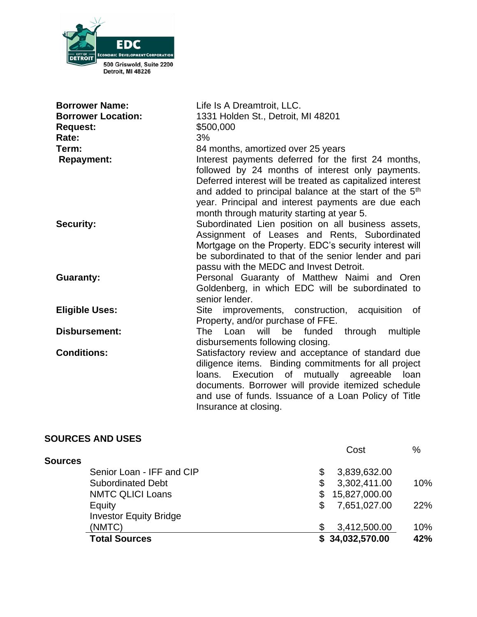

| <b>Borrower Name:</b><br><b>Borrower Location:</b><br><b>Request:</b><br>Rate:<br>Term:<br><b>Repayment:</b> | Life Is A Dreamtroit, LLC.<br>1331 Holden St., Detroit, MI 48201<br>\$500,000<br>3%<br>84 months, amortized over 25 years<br>Interest payments deferred for the first 24 months,<br>followed by 24 months of interest only payments.                                                                                                                                                                                                                         |
|--------------------------------------------------------------------------------------------------------------|--------------------------------------------------------------------------------------------------------------------------------------------------------------------------------------------------------------------------------------------------------------------------------------------------------------------------------------------------------------------------------------------------------------------------------------------------------------|
| <b>Security:</b>                                                                                             | Deferred interest will be treated as capitalized interest<br>and added to principal balance at the start of the 5 <sup>th</sup><br>year. Principal and interest payments are due each<br>month through maturity starting at year 5.<br>Subordinated Lien position on all business assets,<br>Assignment of Leases and Rents, Subordinated<br>Mortgage on the Property. EDC's security interest will<br>be subordinated to that of the senior lender and pari |
| <b>Guaranty:</b>                                                                                             | passu with the MEDC and Invest Detroit.<br>Personal Guaranty of Matthew Naimi and Oren<br>Goldenberg, in which EDC will be subordinated to<br>senior lender.                                                                                                                                                                                                                                                                                                 |
| <b>Eligible Uses:</b>                                                                                        | improvements, construction, acquisition<br>Site<br>0f<br>Property, and/or purchase of FFE.                                                                                                                                                                                                                                                                                                                                                                   |
| <b>Disbursement:</b>                                                                                         | The Loan will be funded<br>through multiple<br>disbursements following closing.                                                                                                                                                                                                                                                                                                                                                                              |
| <b>Conditions:</b>                                                                                           | Satisfactory review and acceptance of standard due<br>diligence items. Binding commitments for all project<br>loans. Execution of mutually agreeable loan<br>documents. Borrower will provide itemized schedule<br>and use of funds. Issuance of a Loan Policy of Title<br>Insurance at closing.                                                                                                                                                             |

| <b>SOURCES AND USES</b>       |                     |      |
|-------------------------------|---------------------|------|
|                               | Cost                | $\%$ |
| <b>Sources</b>                |                     |      |
| Senior Loan - IFF and CIP     | 3,839,632.00<br>\$  |      |
| <b>Subordinated Debt</b>      | 3,302,411.00<br>\$  | 10%  |
| <b>NMTC QLICI Loans</b>       | 15,827,000.00<br>\$ |      |
| Equity                        | \$<br>7,651,027.00  | 22%  |
| <b>Investor Equity Bridge</b> |                     |      |
| (NMTC)                        | \$<br>3,412,500.00  | 10%  |
| <b>Total Sources</b>          | \$34,032,570.00     | 42%  |
|                               |                     |      |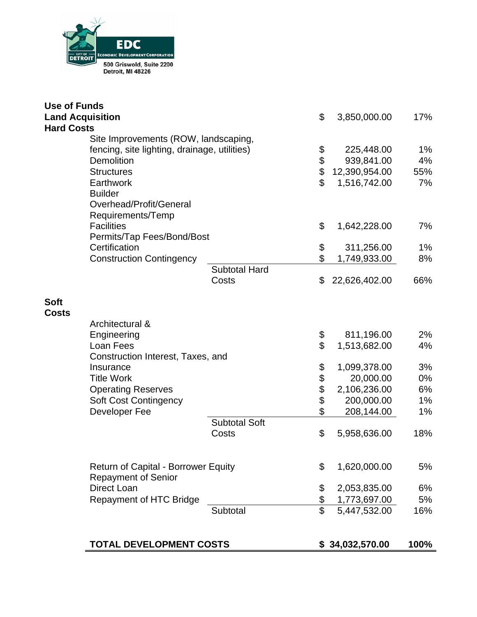

| <b>Use of Funds</b>     |                                              |                      |                         |                 |       |
|-------------------------|----------------------------------------------|----------------------|-------------------------|-----------------|-------|
| <b>Land Acquisition</b> |                                              |                      | \$                      | 3,850,000.00    | 17%   |
| <b>Hard Costs</b>       |                                              |                      |                         |                 |       |
|                         | Site Improvements (ROW, landscaping,         |                      | \$                      |                 |       |
|                         | fencing, site lighting, drainage, utilities) |                      |                         | 225,448.00      | 1%    |
|                         | <b>Demolition</b>                            |                      | \$                      | 939,841.00      | 4%    |
|                         | <b>Structures</b>                            |                      | \$                      | 12,390,954.00   | 55%   |
|                         | <b>Earthwork</b>                             |                      | $\mathfrak{L}$          | 1,516,742.00    | 7%    |
|                         | <b>Builder</b>                               |                      |                         |                 |       |
|                         | Overhead/Profit/General                      |                      |                         |                 |       |
|                         | Requirements/Temp                            |                      |                         |                 |       |
|                         | <b>Facilities</b>                            |                      | \$                      | 1,642,228.00    | 7%    |
|                         | Permits/Tap Fees/Bond/Bost                   |                      |                         |                 |       |
|                         | Certification                                |                      | \$                      | 311,256.00      | 1%    |
|                         | <b>Construction Contingency</b>              |                      | \$                      | 1,749,933.00    | 8%    |
|                         |                                              | <b>Subtotal Hard</b> |                         |                 |       |
|                         |                                              | Costs                | \$                      | 22,626,402.00   | 66%   |
|                         |                                              |                      |                         |                 |       |
| <b>Soft</b>             |                                              |                      |                         |                 |       |
| <b>Costs</b>            |                                              |                      |                         |                 |       |
|                         | Architectural &                              |                      |                         |                 |       |
|                         | Engineering                                  |                      | \$                      | 811,196.00      | 2%    |
|                         | Loan Fees                                    |                      | \$                      | 1,513,682.00    | 4%    |
|                         | Construction Interest, Taxes, and            |                      |                         |                 |       |
|                         | Insurance                                    |                      | \$                      | 1,099,378.00    | 3%    |
|                         | <b>Title Work</b>                            |                      | \$\$\$                  | 20,000.00       | $0\%$ |
|                         | <b>Operating Reserves</b>                    |                      |                         | 2,106,236.00    | 6%    |
|                         | <b>Soft Cost Contingency</b>                 |                      |                         | 200,000.00      | 1%    |
|                         | Developer Fee                                |                      | \$                      | 208,144.00      | 1%    |
|                         |                                              | <b>Subtotal Soft</b> |                         |                 |       |
|                         |                                              | Costs                | \$                      | 5,958,636.00    | 18%   |
|                         |                                              |                      |                         |                 |       |
|                         |                                              |                      |                         |                 |       |
|                         | <b>Return of Capital - Borrower Equity</b>   |                      | \$                      | 1,620,000.00    | 5%    |
|                         | <b>Repayment of Senior</b>                   |                      |                         |                 |       |
|                         | <b>Direct Loan</b>                           |                      | \$                      | 2,053,835.00    | 6%    |
|                         | <b>Repayment of HTC Bridge</b>               |                      | \$                      | 1,773,697.00    | 5%    |
|                         |                                              | Subtotal             | $\overline{\mathbb{S}}$ | 5,447,532.00    | 16%   |
|                         |                                              |                      |                         |                 |       |
|                         |                                              |                      |                         |                 |       |
|                         | <b>TOTAL DEVELOPMENT COSTS</b>               |                      |                         | \$34,032,570.00 | 100%  |
|                         |                                              |                      |                         |                 |       |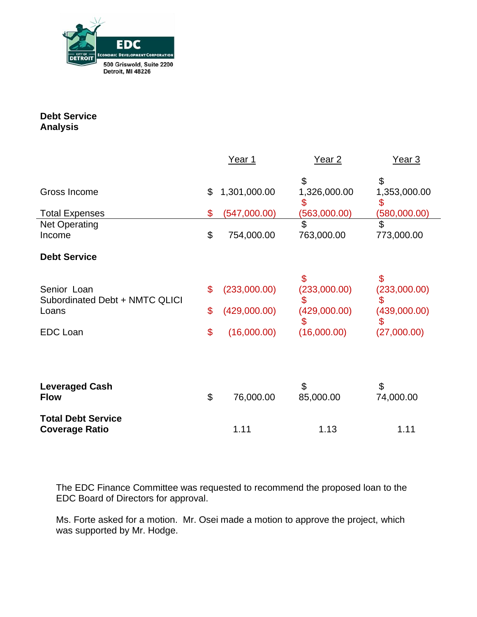

**Debt Service Analysis**

|                                               | Year 1             | Year <sub>2</sub>  | Year 3             |  |
|-----------------------------------------------|--------------------|--------------------|--------------------|--|
| Gross Income                                  | \$<br>1,301,000.00 | \$<br>1,326,000.00 | \$<br>1,353,000.00 |  |
|                                               |                    | \$                 | \$                 |  |
| <b>Total Expenses</b>                         | \$<br>(547,000.00) | (563,000.00)       | (580,000.00)       |  |
| <b>Net Operating</b>                          |                    | \$                 | \$                 |  |
| Income                                        | \$<br>754,000.00   | 763,000.00         | 773,000.00         |  |
| <b>Debt Service</b>                           |                    |                    |                    |  |
|                                               |                    | $\mathfrak{L}$     | \$                 |  |
| Senior Loan<br>Subordinated Debt + NMTC QLICI | \$<br>(233,000.00) | (233,000.00)<br>\$ | (233,000.00)       |  |
| Loans                                         | \$<br>(429,000.00) | (429,000.00)<br>\$ | (439,000.00)<br>\$ |  |
| <b>EDC Loan</b>                               | \$<br>(16,000.00)  | (16,000.00)        | (27,000.00)        |  |
|                                               |                    |                    |                    |  |
|                                               |                    |                    |                    |  |
| <b>Leveraged Cash</b><br><b>Flow</b>          | \$<br>76,000.00    | \$<br>85,000.00    | \$<br>74,000.00    |  |
| <b>Total Debt Service</b>                     |                    |                    |                    |  |
| <b>Coverage Ratio</b>                         | 1.11               | 1.13               | 1.11               |  |

The EDC Finance Committee was requested to recommend the proposed loan to the EDC Board of Directors for approval.

Ms. Forte asked for a motion. Mr. Osei made a motion to approve the project, which was supported by Mr. Hodge.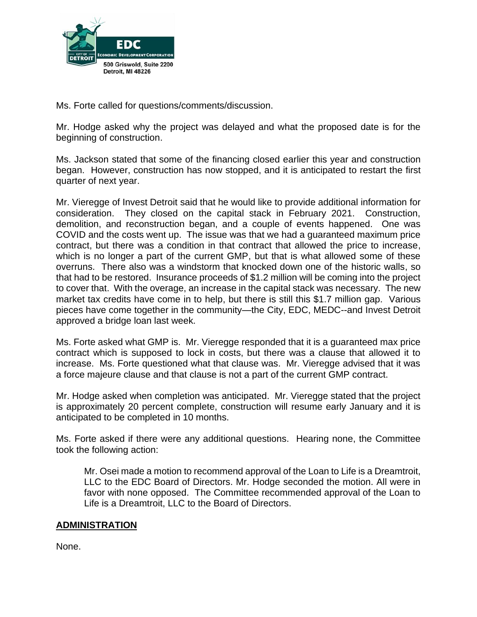

Ms. Forte called for questions/comments/discussion.

Mr. Hodge asked why the project was delayed and what the proposed date is for the beginning of construction.

Ms. Jackson stated that some of the financing closed earlier this year and construction began. However, construction has now stopped, and it is anticipated to restart the first quarter of next year.

Mr. Vieregge of Invest Detroit said that he would like to provide additional information for consideration. They closed on the capital stack in February 2021. Construction, demolition, and reconstruction began, and a couple of events happened. One was COVID and the costs went up. The issue was that we had a guaranteed maximum price contract, but there was a condition in that contract that allowed the price to increase, which is no longer a part of the current GMP, but that is what allowed some of these overruns. There also was a windstorm that knocked down one of the historic walls, so that had to be restored. Insurance proceeds of \$1.2 million will be coming into the project to cover that. With the overage, an increase in the capital stack was necessary. The new market tax credits have come in to help, but there is still this \$1.7 million gap. Various pieces have come together in the community—the City, EDC, MEDC--and Invest Detroit approved a bridge loan last week.

Ms. Forte asked what GMP is. Mr. Vieregge responded that it is a guaranteed max price contract which is supposed to lock in costs, but there was a clause that allowed it to increase. Ms. Forte questioned what that clause was. Mr. Vieregge advised that it was a force majeure clause and that clause is not a part of the current GMP contract.

Mr. Hodge asked when completion was anticipated. Mr. Vieregge stated that the project is approximately 20 percent complete, construction will resume early January and it is anticipated to be completed in 10 months.

Ms. Forte asked if there were any additional questions. Hearing none, the Committee took the following action:

Mr. Osei made a motion to recommend approval of the Loan to Life is a Dreamtroit, LLC to the EDC Board of Directors. Mr. Hodge seconded the motion. All were in favor with none opposed. The Committee recommended approval of the Loan to Life is a Dreamtroit, LLC to the Board of Directors.

# **ADMINISTRATION**

None.